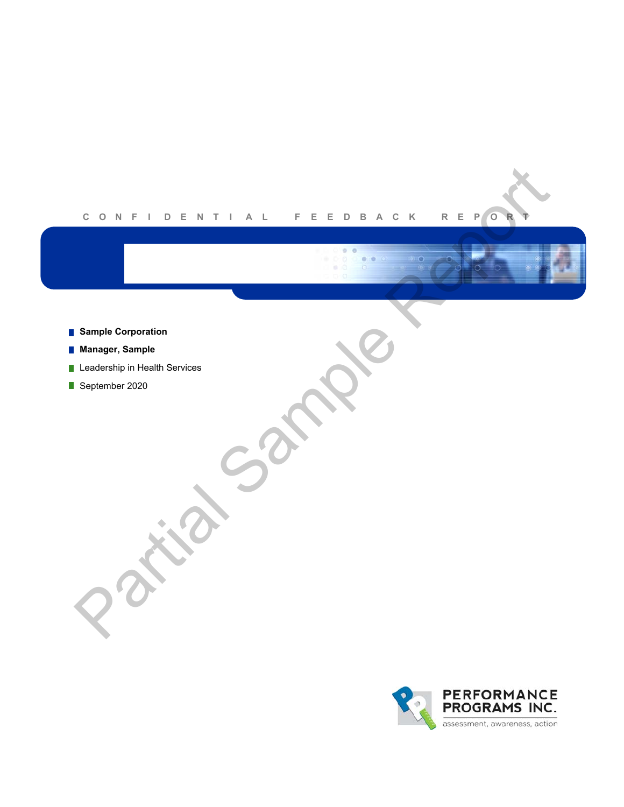

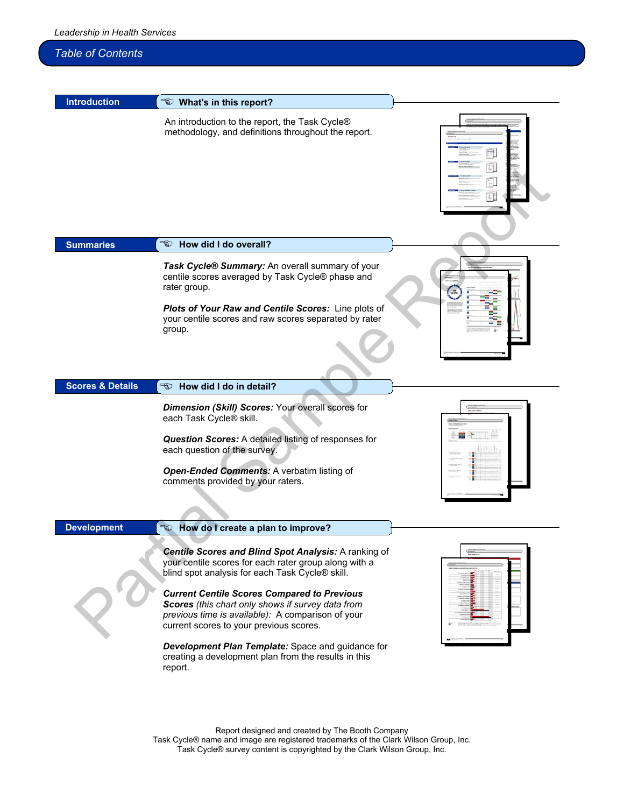

Report designed and created by The Booth Company Task Cycle® name and image are registered trademarks of the Clark Wilson Group, Inc. Task Cycle® survey content is copyrighted by the Clark Wilson Group, Inc.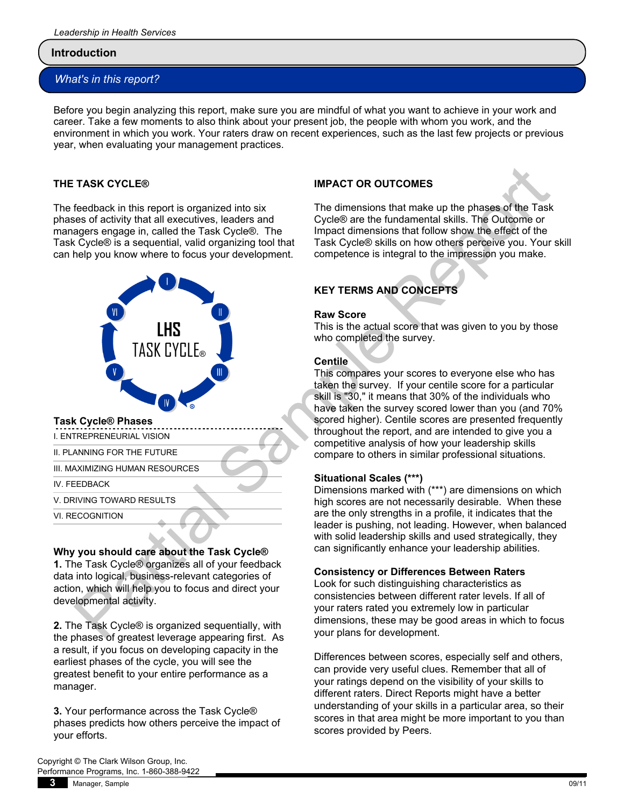### **Introduction**

# *What's in this report?*

Before you begin analyzing this report, make sure you are mindful of what you want to achieve in your work and career. Take a few moments to also think about your present job, the people with whom you work, and the environment in which you work. Your raters draw on recent experiences, such as the last few projects or previous year, when evaluating your management practices.

### **THE TASK CYCLE®**

The feedback in this report is organized into six phases of activity that all executives, leaders and managers engage in, called the Task Cycle®. The Task Cycle® is a sequential, valid organizing tool that can help you know where to focus your development.



### **Task Cycle® Phases**

I. ENTREPRENEURIAL VISION

II. PLANNING FOR THE FUTURE

III. MAXIMIZING HUMAN RESOURCES

IV. FEEDBACK

V. DRIVING TOWARD RESULTS

VI. RECOGNITION

### **Why you should care about the Task Cycle®**

**1.** The Task Cycle® organizes all of your feedback data into logical, business-relevant categories of action, which will help you to focus and direct your developmental activity.

**2.** The Task Cycle® is organized sequentially, with the phases of greatest leverage appearing first. As a result, if you focus on developing capacity in the earliest phases of the cycle, you will see the greatest benefit to your entire performance as a manager.

**3.** Your performance across the Task Cycle® phases predicts how others perceive the impact of your efforts.

## **IMPACT OR OUTCOMES**



The dimensions that make up the phases of the Task Cycle® are the fundamental skills. The Outcome or Impact dimensions that follow show the effect of the Task Cycle® skills on how others perceive you. Your skill competence is integral to the impression you make.

# **KEY TERMS AND CONCEPTS**

### **Raw Score**

This is the actual score that was given to you by those who completed the survey.

### **Centile**

This compares your scores to everyone else who has taken the survey. If your centile score for a particular skill is "30," it means that 30% of the individuals who have taken the survey scored lower than you (and 70% scored higher). Centile scores are presented frequently throughout the report, and are intended to give you a competitive analysis of how your leadership skills compare to others in similar professional situations. TASK CYCLE®<br>
Seachack in this report is organized into six<br>
The dimensions that make up the phases of the Task<br>
seases engage in, called the Task Cycle®. The<br>
Sease are the fundamental skills. The Outcome or<br>
Cycle® Base

### **Situational Scales (\*\*\*)**

Dimensions marked with (\*\*\*) are dimensions on which high scores are not necessarily desirable. When these are the only strengths in a profile, it indicates that the leader is pushing, not leading. However, when balanced with solid leadership skills and used strategically, they can significantly enhance your leadership abilities.

### **Consistency or Differences Between Raters**

Look for such distinguishing characteristics as consistencies between different rater levels. If all of your raters rated you extremely low in particular dimensions, these may be good areas in which to focus your plans for development.

Differences between scores, especially self and others, can provide very useful clues. Remember that all of your ratings depend on the visibility of your skills to different raters. Direct Reports might have a better understanding of your skills in a particular area, so their scores in that area might be more important to you than scores provided by Peers.

Copyright © The Clark Wilson Group, Inc. Performance Programs, Inc. 1-860-388-9422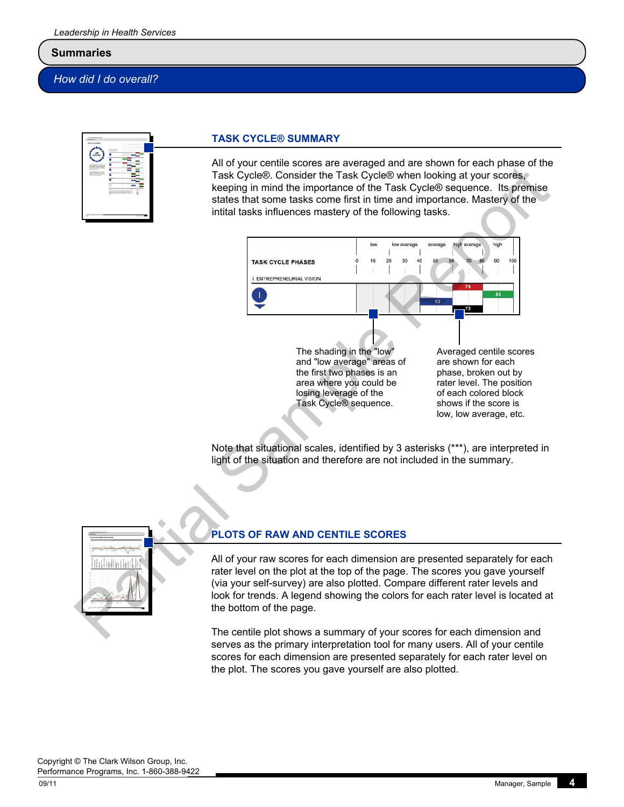### **Summaries**

*How did I do overall?*



### **TASK CYCLE® SUMMARY**

All of your centile scores are averaged and are shown for each phase of the Task Cycle®. Consider the Task Cycle® when looking at your scores, keeping in mind the importance of the Task Cycle® sequence. Its premise states that some tasks come first in time and importance. Mastery of the intital tasks influences mastery of the following tasks.



Note that situational scales, identified by 3 asterisks (\*\*\*), are interpreted in light of the situation and therefore are not included in the summary.



# **PLOTS OF RAW AND CENTILE SCORES**

All of your raw scores for each dimension are presented separately for each rater level on the plot at the top of the page. The scores you gave yourself (via your self-survey) are also plotted. Compare different rater levels and look for trends. A legend showing the colors for each rater level is located at the bottom of the page.

The centile plot shows a summary of your scores for each dimension and serves as the primary interpretation tool for many users. All of your centile scores for each dimension are presented separately for each rater level on the plot. The scores you gave yourself are also plotted.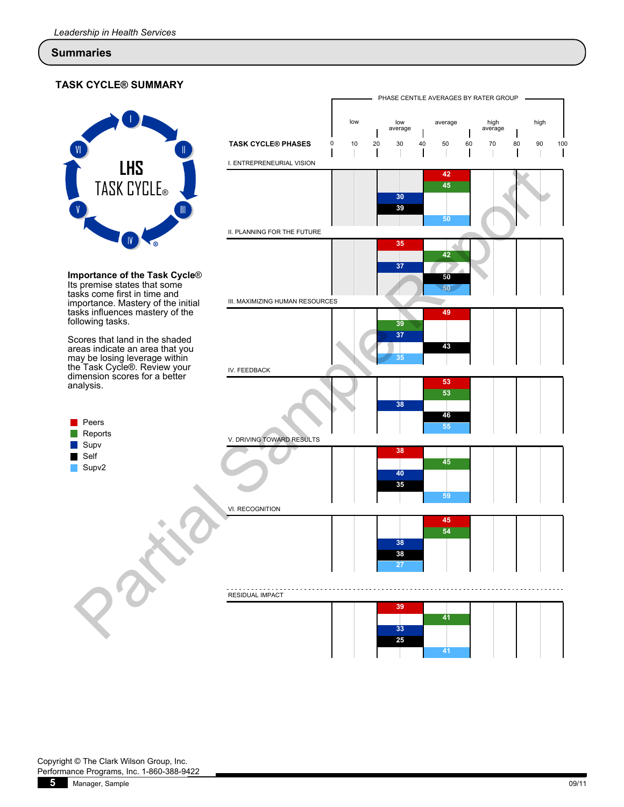### **Summaries**

### **TASK CYCLE® SUMMARY**



**Importance of the Task Cycle**® Its premise states that some tasks come first in time and importance. Mastery of the initial tasks influences mastery of the following tasks.

Scores that land in the shaded areas indicate an area that you may be losing leverage within the Task Cycle®. Review your dimension scores for a better analysis.

 $\blacksquare$  Peers **Reports Supv** Self

Supv2

|                                                                                                                                                                                          |                                 |         | PHASE CENTILE AVERAGES BY RATER GROUP |                          |                 |           |
|------------------------------------------------------------------------------------------------------------------------------------------------------------------------------------------|---------------------------------|---------|---------------------------------------|--------------------------|-----------------|-----------|
|                                                                                                                                                                                          |                                 | low     | low<br>average                        | average                  | high<br>average | high      |
|                                                                                                                                                                                          | <b>TASK CYCLE® PHASES</b>       | 0<br>10 | 20<br>40<br>30                        | 50<br>60                 | 70<br>80        | 90<br>100 |
| <b>LHS</b>                                                                                                                                                                               | I. ENTREPRENEURIAL VISION       |         |                                       |                          |                 |           |
| TASK CYCLE®                                                                                                                                                                              |                                 |         | 30<br>39                              | 42<br>45<br>50           |                 |           |
|                                                                                                                                                                                          | II. PLANNING FOR THE FUTURE     |         |                                       |                          |                 |           |
| <code>nportance</code> of the Task Cycle $\circledR$<br>s premise states that some<br>isks come first in time and<br>nportance. Mastery of the initial<br>isks influences mastery of the | III. MAXIMIZING HUMAN RESOURCES |         | 35<br>37                              | 42<br>50<br>$50-1$<br>49 |                 |           |
| <b>Ilowing tasks.</b>                                                                                                                                                                    |                                 |         | 39                                    |                          |                 |           |
| cores that land in the shaded<br>reas indicate an area that you<br>and you<br>hay be losing leverage within<br>the Task Cycle®. Review your<br>imension scores for a better              | IV. FEEDBACK                    |         | 37<br>35                              | 43                       |                 |           |
| nalysis.                                                                                                                                                                                 |                                 |         | 38                                    | 53<br>53<br>46           |                 |           |
| Peers                                                                                                                                                                                    |                                 |         |                                       | 55                       |                 |           |
| Reports<br>Supv                                                                                                                                                                          | V. DRIVING TOWARD RESULTS       |         |                                       |                          |                 |           |
| Self<br>Supv2                                                                                                                                                                            |                                 |         | 38<br>40<br>35                        | 45                       |                 |           |
|                                                                                                                                                                                          |                                 |         |                                       | 59                       |                 |           |
|                                                                                                                                                                                          | VI. RECOGNITION                 |         |                                       |                          |                 |           |
|                                                                                                                                                                                          |                                 |         | 38<br>38<br>27                        | 45<br>54                 |                 |           |
|                                                                                                                                                                                          | <b>RESIDUAL IMPACT</b>          |         |                                       |                          |                 |           |
|                                                                                                                                                                                          |                                 |         | 39<br>33                              | 41                       |                 |           |
|                                                                                                                                                                                          |                                 |         |                                       |                          |                 |           |

| 39              |                 |  |
|-----------------|-----------------|--|
|                 | $\sqrt{41}$     |  |
| 33 <sup>1</sup> |                 |  |
| 25              |                 |  |
|                 | $\overline{A4}$ |  |

Copyright © The Clark Wilson Group, Inc. Performance Programs, Inc. 1-860-388-9422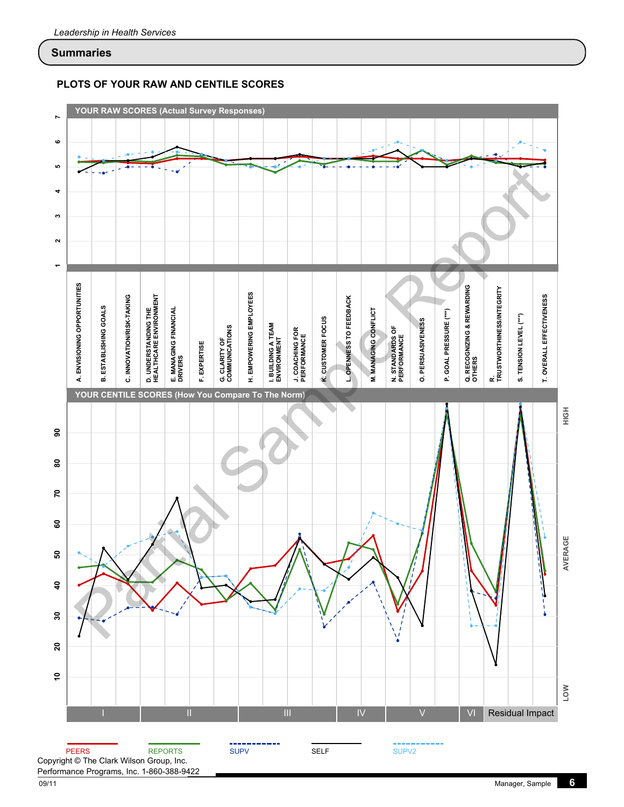# **Summaries**

# **PLOTS OF YOUR RAW AND CENTILE SCORES**

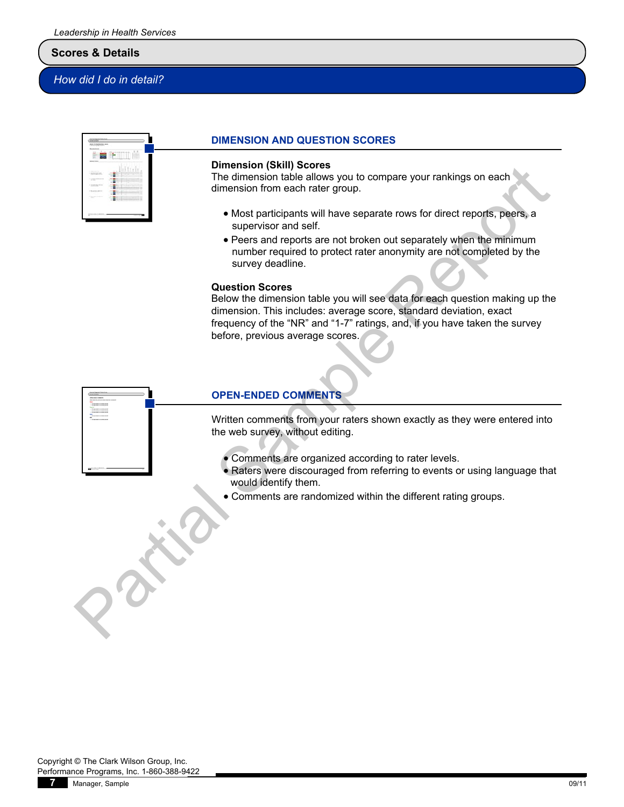*How did I do in detail?*

|                                                                                                         | ٦<br>ĩ<br>π | iΠ<br>٠<br>Ī<br>I<br>I | ı |                                              |  |
|---------------------------------------------------------------------------------------------------------|-------------|------------------------|---|----------------------------------------------|--|
| ---<br>16<br>٠<br>÷<br>t.<br>×<br>$\sim$<br>š<br>$\overline{a}$<br>٠<br>٠<br>٠<br>ł<br>ĉ<br>÷<br>$\sim$ | ٠<br>۰<br>÷ | ļ<br>ļ<br>ī<br>a,<br>s | ī | ī<br>=<br>n<br>٠<br>í<br>world by<br>--<br>٠ |  |

#### **DIMENSION AND QUESTION SCORES**

#### **Dimension (Skill) Scores**

The dimension table allows you to compare your rankings on each dimension from each rater group.

- · Most participants will have separate rows for direct reports, peers, a supervisor and self.
- · Peers and reports are not broken out separately when the minimum number required to protect rater anonymity are not completed by the survey deadline.

#### **Question Scores**

Below the dimension table you will see data for each question making up the dimension. This includes: average score, standard deviation, exact frequency of the "NR" and "1-7" ratings, and, if you have taken the survey before, previous average scores. Dimension for Mail Scores<br>
The dimension table allows you to compare your rankings on each<br>
dimension form each rate group.<br>
• Most participants will have separate rows for direct reports, peers, a<br>
supervisor and set.<br>
•



### **OPEN-ENDED COMMENTS**

Written comments from your raters shown exactly as they were entered into the web survey, without editing.

- · Comments are organized according to rater levels.
- · Raters were discouraged from referring to events or using language that would identify them.
- · Comments are randomized within the different rating groups.

Copyright © The Clark Wilson Group, Inc. Performance Programs, Inc. 1-860-388-9422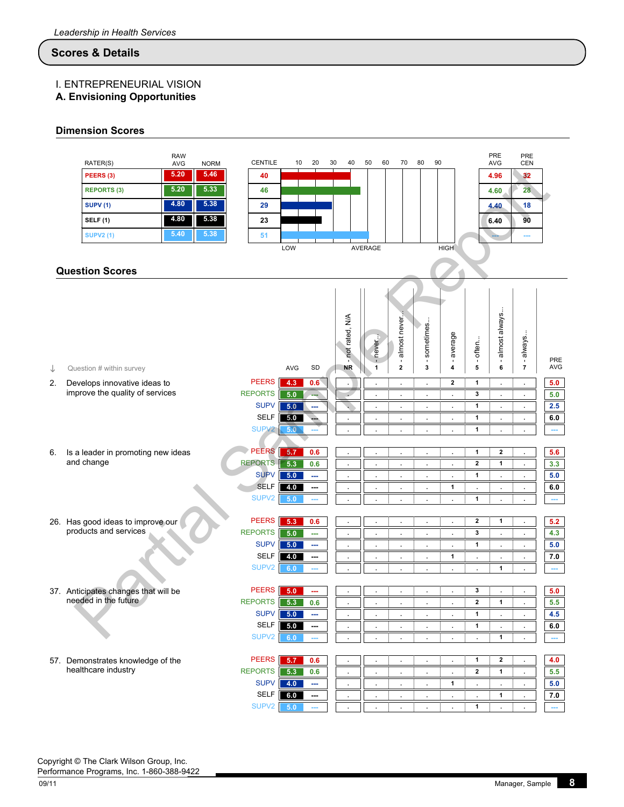# I. ENTREPRENEURIAL VISION

**A. Envisioning Opportunities**

#### **Dimension Scores**

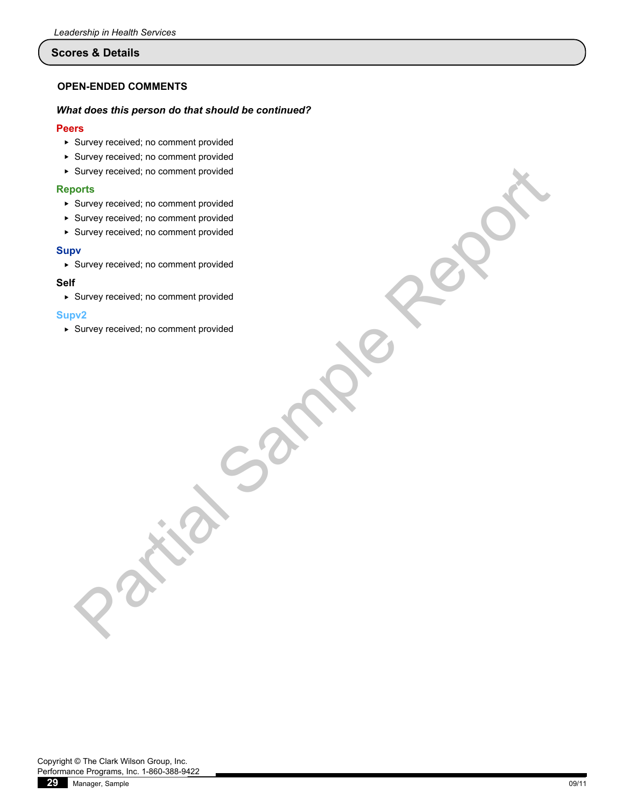### **OPEN-ENDED COMMENTS**

#### *What does this person do that should be continued?*

### **Peers**

- $\triangleright$  Survey received; no comment provided
- $\blacktriangleright$  Survey received; no comment provided
- $\triangleright$  Survey received; no comment provided

#### **Reports**

- $\triangleright$  Survey received; no comment provided
- $\blacktriangleright$  Survey received; no comment provided
- $\blacktriangleright$  Survey received; no comment provided Survey received; no comment provided<br>Survey received; no comment provided<br>Survey received: no comment provided<br>We are vertex to comment provided<br>Survey received: no comment provided<br>Survey received: no comment provided<br>Sur

#### **Supv**

 $\triangleright$  Survey received; no comment provided

#### **Self**

 $\triangleright$  Survey received; no comment provided

#### **Supv2**

 $\triangleright$  Survey received; no comment provided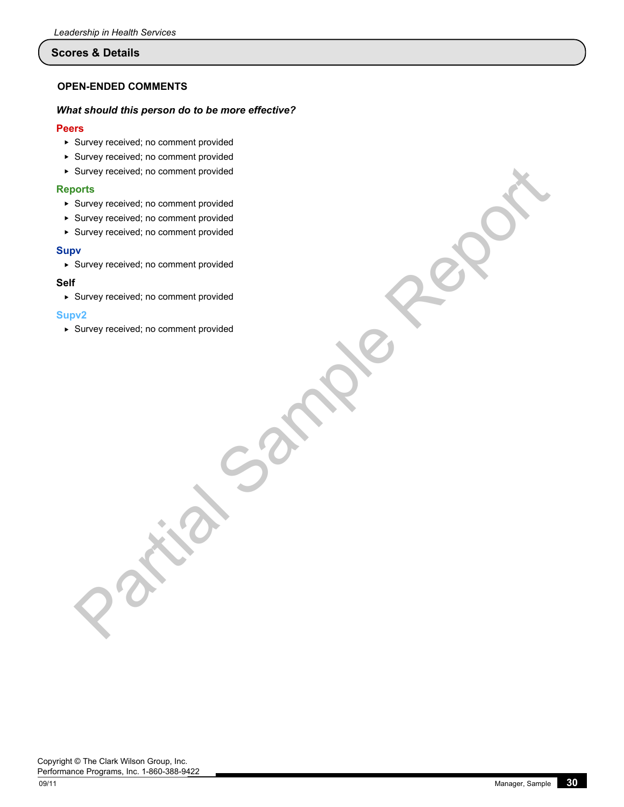### **OPEN-ENDED COMMENTS**

### *What should this person do to be more effective?*

### **Peers**

- $\triangleright$  Survey received; no comment provided
- $\blacktriangleright$  Survey received; no comment provided
- $\triangleright$  Survey received; no comment provided Survey received; no comment provided<br>Survey received; no comment provided<br>Survey received: no comment provided<br>We are vertex to comment provided<br>Survey received: no comment provided<br>Survey received: no comment provided<br>Sur

#### **Reports**

- $\triangleright$  Survey received; no comment provided
- $\blacktriangleright$  Survey received; no comment provided
- $\blacktriangleright$  Survey received; no comment provided

#### **Supv**

 $\triangleright$  Survey received; no comment provided

### **Self**

 $\triangleright$  Survey received; no comment provided

#### **Supv2**

 $\triangleright$  Survey received; no comment provided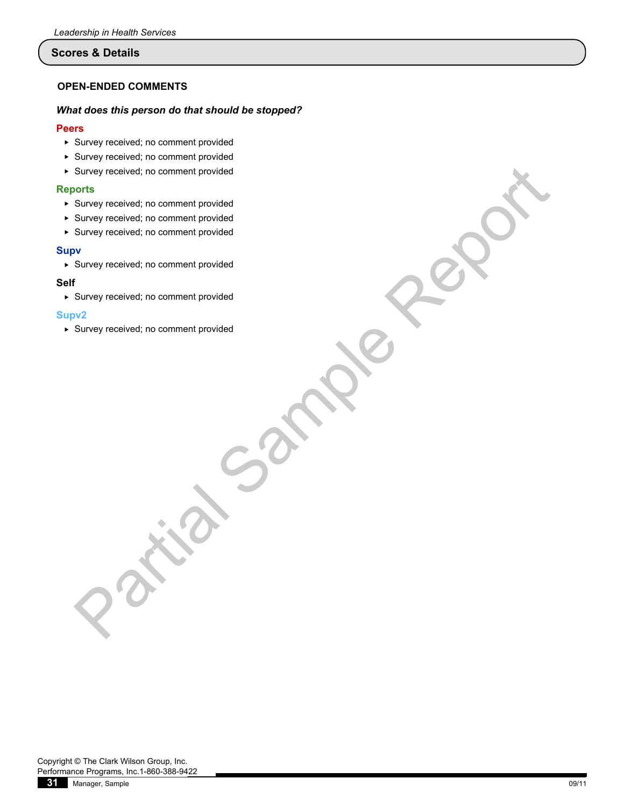### **OPEN-ENDED COMMENTS**

#### *What does this person do that should be stopped?*

### **Peers**

- $\triangleright$  Survey received; no comment provided
- $\blacktriangleright$  Survey received; no comment provided
- $\triangleright$  Survey received; no comment provided

#### **Reports**

- $\triangleright$  Survey received; no comment provided
- $\blacktriangleright$  Survey received; no comment provided Survey received; no comment provided<br>Survey received; no comment provided<br>Survey received: no comment provided<br>We are vertex to comment provided<br>Survey received: no comment provided<br>Survey received: no comment provided<br>Sur
- $\blacktriangleright$  Survey received; no comment provided

#### **Supv**

 $\triangleright$  Survey received; no comment provided

#### **Self**

 $\triangleright$  Survey received; no comment provided

#### **Supv2**

 $\triangleright$  Survey received; no comment provided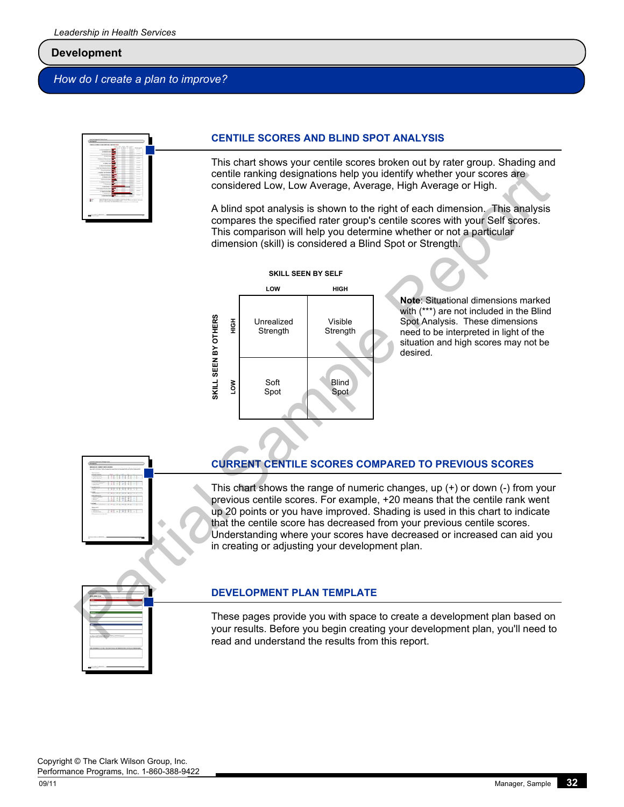### *How do I create a plan to improve?*



### **CENTILE SCORES AND BLIND SPOT ANALYSIS**

This chart shows your centile scores broken out by rater group. Shading and centile ranking designations help you identify whether your scores are considered Low, Low Average, Average, High Average or High.

A blind spot analysis is shown to the right of each dimension. This analysis compares the specified rater group's centile scores with your Self scores. This comparison will help you determine whether or not a particular dimension (skill) is considered a Blind Spot or Strength.



**Note**: Situational dimensions marked with (\*\*\*) are not included in the Blind Spot Analysis. These dimensions need to be interpreted in light of the situation and high scores may not be desired.

### **CURRENT CENTILE SCORES COMPARED TO PREVIOUS SCORES**

This chart shows the range of numeric changes, up (+) or down (-) from your previous centile scores. For example, +20 means that the centile rank went up 20 points or you have improved. Shading is used in this chart to indicate that the centile score has decreased from your previous centile scores. Understanding where your scores have decreased or increased can aid you in creating or adjusting your development plan.

### **DEVELOPMENT PLAN TEMPLATE**

These pages provide you with space to create a development plan based on your results. Before you begin creating your development plan, you'll need to read and understand the results from this report.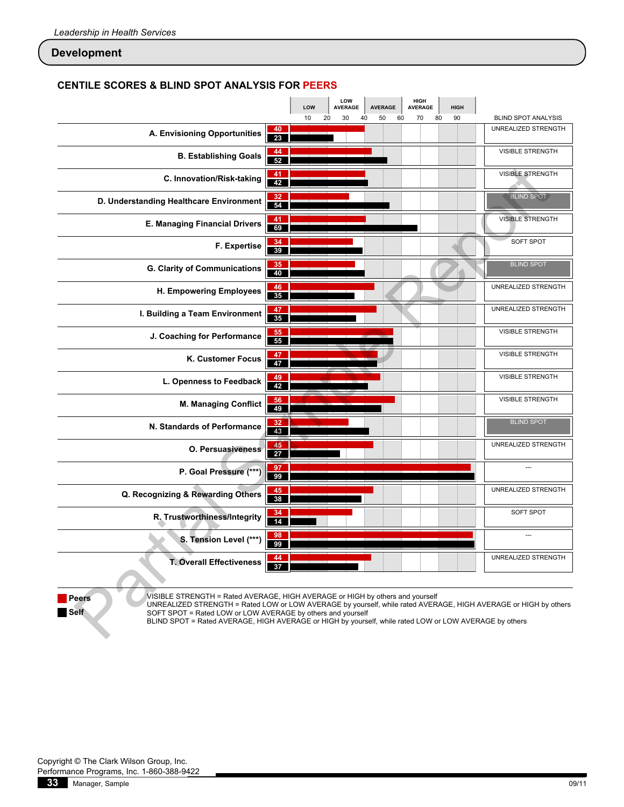# **CENTILE SCORES & BLIND SPOT ANALYSIS FOR PEERS**

|                                                                                                                                                                                                                                                                                                                                                                                                   |           | LOW |    | LOW<br><b>AVERAGE</b> | <b>AVERAGE</b> |    | <b>HIGH</b><br><b>AVERAGE</b> |    | <b>HIGH</b> |                            |
|---------------------------------------------------------------------------------------------------------------------------------------------------------------------------------------------------------------------------------------------------------------------------------------------------------------------------------------------------------------------------------------------------|-----------|-----|----|-----------------------|----------------|----|-------------------------------|----|-------------|----------------------------|
|                                                                                                                                                                                                                                                                                                                                                                                                   |           | 10  | 20 | 30<br>40              | 50             | 60 | 70                            | 80 | 90          | <b>BLIND SPOT ANALYSIS</b> |
| A. Envisioning Opportunities                                                                                                                                                                                                                                                                                                                                                                      | 40<br>23  |     |    |                       |                |    |                               |    |             | UNREALIZED STRENGTH        |
| <b>B. Establishing Goals</b>                                                                                                                                                                                                                                                                                                                                                                      | 44<br>52  |     |    |                       |                |    |                               |    |             | <b>VISIBLE STRENGTH</b>    |
| C. Innovation/Risk-taking                                                                                                                                                                                                                                                                                                                                                                         | 41<br>42  |     |    |                       |                |    |                               |    |             | <b>VISIBLE STRENGTH</b>    |
| D. Understanding Healthcare Environment                                                                                                                                                                                                                                                                                                                                                           | 32<br>54  |     |    |                       |                |    |                               |    |             | <b>BLIND SPOT</b>          |
| <b>E. Managing Financial Drivers</b>                                                                                                                                                                                                                                                                                                                                                              | -41<br>69 |     |    |                       |                |    |                               |    |             | <b>VISIBLE STRENGTH</b>    |
| F. Expertise                                                                                                                                                                                                                                                                                                                                                                                      | 34<br>39  |     |    |                       |                |    |                               |    |             | <b>SOFT SPOT</b>           |
| <b>G. Clarity of Communications</b>                                                                                                                                                                                                                                                                                                                                                               | 35<br>40  |     |    |                       |                |    |                               |    |             | <b>BLIND SPOT</b>          |
| H. Empowering Employees                                                                                                                                                                                                                                                                                                                                                                           | 46<br>35  |     |    |                       |                |    |                               |    |             | UNREALIZED STRENGTH        |
| I. Building a Team Environment                                                                                                                                                                                                                                                                                                                                                                    | 47<br>35  |     |    |                       |                |    |                               |    |             | UNREALIZED STRENGTH        |
| J. Coaching for Performance                                                                                                                                                                                                                                                                                                                                                                       | 55<br>55  |     |    |                       |                |    |                               |    |             | <b>VISIBLE STRENGTH</b>    |
| K. Customer Focus                                                                                                                                                                                                                                                                                                                                                                                 | 47<br>47  |     |    |                       |                |    |                               |    |             | <b>VISIBLE STRENGTH</b>    |
| L. Openness to Feedback                                                                                                                                                                                                                                                                                                                                                                           | 49<br>42  |     |    |                       |                |    |                               |    |             | <b>VISIBLE STRENGTH</b>    |
| <b>M. Managing Conflict</b>                                                                                                                                                                                                                                                                                                                                                                       | 56<br>49  |     |    |                       |                |    |                               |    |             | <b>VISIBLE STRENGTH</b>    |
| N. Standards of Performance                                                                                                                                                                                                                                                                                                                                                                       | 32<br>43  |     |    |                       |                |    |                               |    |             | <b>BLIND SPOT</b>          |
| <b>O. Persuasiveness</b>                                                                                                                                                                                                                                                                                                                                                                          | 45<br>27  |     |    |                       |                |    |                               |    |             | UNREALIZED STRENGTH        |
| P. Goal Pressure (***)                                                                                                                                                                                                                                                                                                                                                                            | 97<br>99  |     |    |                       |                |    |                               |    |             |                            |
| Q. Recognizing & Rewarding Others                                                                                                                                                                                                                                                                                                                                                                 | 45<br>38  |     |    |                       |                |    |                               |    |             | UNREALIZED STRENGTH        |
| R. Trustworthiness/Integrity                                                                                                                                                                                                                                                                                                                                                                      | 34<br>14  |     |    |                       |                |    |                               |    |             | SOFT SPOT                  |
| S. Tension Level (***)                                                                                                                                                                                                                                                                                                                                                                            | 98<br>99  |     |    |                       |                |    |                               |    |             |                            |
| <b>T. Overall Effectiveness</b>                                                                                                                                                                                                                                                                                                                                                                   |           |     |    |                       |                |    |                               |    |             | UNREALIZED STRENGTH        |
| VISIBLE STRENGTH = Rated AVERAGE, HIGH AVERAGE or HIGH by others and yourself<br>Peers<br>UNREALIZED STRENGTH = Rated LOW or LOW AVERAGE by yourself, while rated AVERAGE, HIGH AVERAGE or HIGH by others<br><b>Self</b><br>SOFT SPOT = Rated LOW or LOW AVERAGE by others and yourself<br>BLIND SPOT = Rated AVERAGE, HIGH AVERAGE or HIGH by yourself, while rated LOW or LOW AVERAGE by others |           |     |    |                       |                |    |                               |    |             |                            |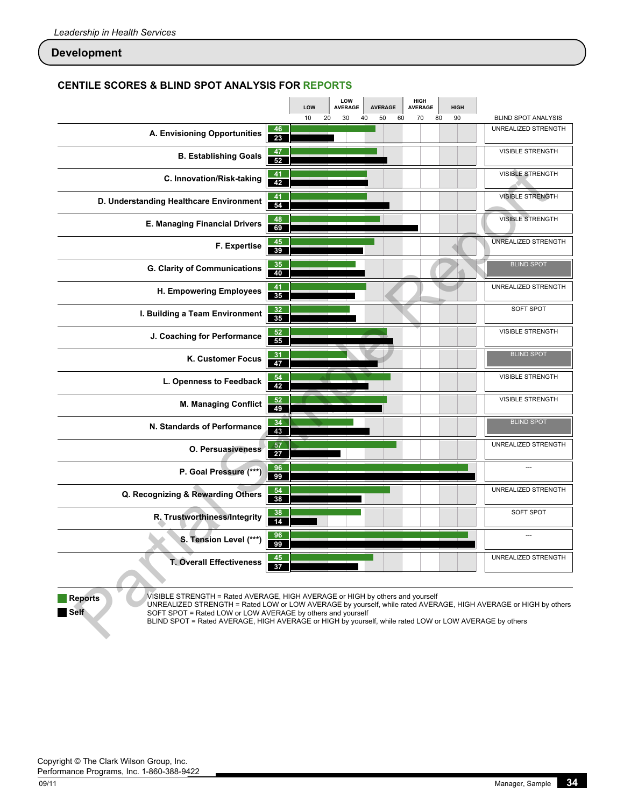### **CENTILE SCORES & BLIND SPOT ANALYSIS FOR REPORTS**

|                                                                                                                                                                                                                                                                                                                                                                                                     |          | LOW | LOW<br><b>AVERAGE</b> |    | <b>AVERAGE</b> |    | HIGH<br><b>AVERAGE</b> |    | <b>HIGH</b> |                            |
|-----------------------------------------------------------------------------------------------------------------------------------------------------------------------------------------------------------------------------------------------------------------------------------------------------------------------------------------------------------------------------------------------------|----------|-----|-----------------------|----|----------------|----|------------------------|----|-------------|----------------------------|
|                                                                                                                                                                                                                                                                                                                                                                                                     |          | 10  | 20<br>30              | 40 | 50             | 60 | 70                     | 80 | 90          | <b>BLIND SPOT ANALYSIS</b> |
| A. Envisioning Opportunities                                                                                                                                                                                                                                                                                                                                                                        | 46<br>23 |     |                       |    |                |    |                        |    |             | UNREALIZED STRENGTH        |
| <b>B. Establishing Goals</b>                                                                                                                                                                                                                                                                                                                                                                        | 47<br>52 |     |                       |    |                |    |                        |    |             | <b>VISIBLE STRENGTH</b>    |
| C. Innovation/Risk-taking                                                                                                                                                                                                                                                                                                                                                                           | 41<br>42 |     |                       |    |                |    |                        |    |             | <b>VISIBLE STRENGTH</b>    |
| D. Understanding Healthcare Environment                                                                                                                                                                                                                                                                                                                                                             | 41<br>54 |     |                       |    |                |    |                        |    |             | <b>VISIBLE STRENGTH</b>    |
| <b>E. Managing Financial Drivers</b>                                                                                                                                                                                                                                                                                                                                                                | 48<br>69 |     |                       |    |                |    |                        |    |             | <b>VISIBLE STRENGTH</b>    |
| F. Expertise                                                                                                                                                                                                                                                                                                                                                                                        | 45<br>39 |     |                       |    |                |    |                        |    |             | UNREALIZED STRENGTH        |
| <b>G. Clarity of Communications</b>                                                                                                                                                                                                                                                                                                                                                                 | 35<br>40 |     |                       |    |                |    |                        |    |             | <b>BLIND SPOT</b>          |
| <b>H. Empowering Employees</b>                                                                                                                                                                                                                                                                                                                                                                      | 41<br>35 |     |                       |    |                |    |                        |    |             | UNREALIZED STRENGTH        |
| I. Building a Team Environment                                                                                                                                                                                                                                                                                                                                                                      | 32<br>35 |     |                       |    |                |    |                        |    |             | <b>SOFT SPOT</b>           |
| J. Coaching for Performance                                                                                                                                                                                                                                                                                                                                                                         | 52<br>55 |     |                       |    |                |    |                        |    |             | <b>VISIBLE STRENGTH</b>    |
| K. Customer Focus                                                                                                                                                                                                                                                                                                                                                                                   | 31<br>47 |     |                       |    |                |    |                        |    |             | <b>BLIND SPOT</b>          |
| L. Openness to Feedback                                                                                                                                                                                                                                                                                                                                                                             | 54<br>42 |     |                       |    |                |    |                        |    |             | <b>VISIBLE STRENGTH</b>    |
| <b>M. Managing Conflict</b>                                                                                                                                                                                                                                                                                                                                                                         | 52<br>49 |     |                       |    |                |    |                        |    |             | <b>VISIBLE STRENGTH</b>    |
| N. Standards of Performance                                                                                                                                                                                                                                                                                                                                                                         | 34<br>43 |     |                       |    |                |    |                        |    |             | <b>BLIND SPOT</b>          |
| <b>O. Persuasiveness</b>                                                                                                                                                                                                                                                                                                                                                                            | 57<br>27 |     |                       |    |                |    |                        |    |             | UNREALIZED STRENGTH        |
| P. Goal Pressure (***)                                                                                                                                                                                                                                                                                                                                                                              | 96<br>99 |     |                       |    |                |    |                        |    |             |                            |
| Q. Recognizing & Rewarding Others                                                                                                                                                                                                                                                                                                                                                                   | 54<br>38 |     |                       |    |                |    |                        |    |             | UNREALIZED STRENGTH        |
| R. Trustworthiness/Integrity                                                                                                                                                                                                                                                                                                                                                                        | 38<br>14 |     |                       |    |                |    |                        |    |             | <b>SOFT SPOT</b>           |
| S. Tension Level (***)                                                                                                                                                                                                                                                                                                                                                                              | 96<br>99 |     |                       |    |                |    |                        |    |             |                            |
| <b>T. Overall Effectiveness</b>                                                                                                                                                                                                                                                                                                                                                                     | 45<br>37 |     |                       |    |                |    |                        |    |             | UNREALIZED STRENGTH        |
| VISIBLE STRENGTH = Rated AVERAGE, HIGH AVERAGE or HIGH by others and yourself<br>Reports<br>UNREALIZED STRENGTH = Rated LOW or LOW AVERAGE by yourself, while rated AVERAGE, HIGH AVERAGE or HIGH by others<br><b>Self</b><br>SOFT SPOT = Rated LOW or LOW AVERAGE by others and yourself<br>BLIND SPOT = Rated AVERAGE, HIGH AVERAGE or HIGH by yourself, while rated LOW or LOW AVERAGE by others |          |     |                       |    |                |    |                        |    |             |                            |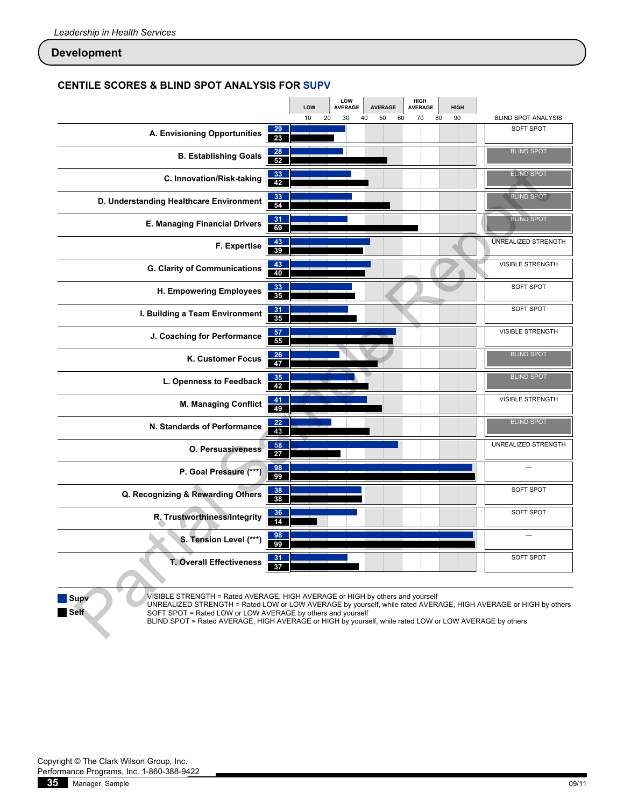# **CENTILE SCORES & BLIND SPOT ANALYSIS FOR SUPV**

|                                                                                                                                                                                                                                                                                                                                                                                                  |          | LOW |    | LOW<br><b>AVERAGE</b> |    | <b>AVERAGE</b> |    | HIGH<br><b>AVERAGE</b> |    | <b>HIGH</b> |                            |
|--------------------------------------------------------------------------------------------------------------------------------------------------------------------------------------------------------------------------------------------------------------------------------------------------------------------------------------------------------------------------------------------------|----------|-----|----|-----------------------|----|----------------|----|------------------------|----|-------------|----------------------------|
|                                                                                                                                                                                                                                                                                                                                                                                                  |          | 10  | 20 | 30                    | 40 | 50             | 60 | 70                     | 80 | 90          | <b>BLIND SPOT ANALYSIS</b> |
| A. Envisioning Opportunities                                                                                                                                                                                                                                                                                                                                                                     | 29<br>23 |     |    |                       |    |                |    |                        |    |             | SOFT SPOT                  |
| <b>B. Establishing Goals</b>                                                                                                                                                                                                                                                                                                                                                                     | 28<br>52 |     |    |                       |    |                |    |                        |    |             | <b>BLIND SPOT</b>          |
| C. Innovation/Risk-taking                                                                                                                                                                                                                                                                                                                                                                        | 33<br>42 |     |    |                       |    |                |    |                        |    |             | <b>BLIND SPOT</b>          |
| D. Understanding Healthcare Environment                                                                                                                                                                                                                                                                                                                                                          | 33<br>54 |     |    |                       |    |                |    |                        |    |             | <b>BLIND SPOT</b>          |
| <b>E. Managing Financial Drivers</b>                                                                                                                                                                                                                                                                                                                                                             | 31<br>69 |     |    |                       |    |                |    |                        |    |             | <b>BLIND SPOT</b>          |
| F. Expertise                                                                                                                                                                                                                                                                                                                                                                                     | 43<br>39 |     |    |                       |    |                |    |                        |    |             | <b>UNREALIZED STRENGTH</b> |
| <b>G. Clarity of Communications</b>                                                                                                                                                                                                                                                                                                                                                              | 43<br>40 |     |    |                       |    |                |    |                        |    |             | <b>VISIBLE STRENGTH</b>    |
| H. Empowering Employees                                                                                                                                                                                                                                                                                                                                                                          | 33<br>35 |     |    |                       |    |                |    |                        |    |             | SOFT SPOT                  |
| I. Building a Team Environment                                                                                                                                                                                                                                                                                                                                                                   | 31<br>35 |     |    |                       |    |                |    |                        |    |             | SOFT SPOT                  |
| J. Coaching for Performance                                                                                                                                                                                                                                                                                                                                                                      | 57<br>55 |     |    |                       |    |                |    |                        |    |             | <b>VISIBLE STRENGTH</b>    |
| K. Customer Focus                                                                                                                                                                                                                                                                                                                                                                                | 26<br>47 |     |    |                       |    |                |    |                        |    |             | <b>BLIND SPOT</b>          |
| L. Openness to Feedback                                                                                                                                                                                                                                                                                                                                                                          | 35<br>42 |     |    |                       |    |                |    |                        |    |             | <b>BLIND SPOT</b>          |
| <b>M. Managing Conflict</b>                                                                                                                                                                                                                                                                                                                                                                      | 41<br>49 |     |    |                       |    |                |    |                        |    |             | <b>VISIBLE STRENGTH</b>    |
| N. Standards of Performance                                                                                                                                                                                                                                                                                                                                                                      | 22<br>43 |     |    |                       |    |                |    |                        |    |             | <b>BLIND SPOT</b>          |
| <b>O. Persuasiveness</b>                                                                                                                                                                                                                                                                                                                                                                         | 58<br>27 |     |    |                       |    |                |    |                        |    |             | UNREALIZED STRENGTH        |
| P. Goal Pressure (***)                                                                                                                                                                                                                                                                                                                                                                           | 98<br>99 |     |    |                       |    |                |    |                        |    |             |                            |
| Q. Recognizing & Rewarding Others                                                                                                                                                                                                                                                                                                                                                                | 38<br>38 |     |    |                       |    |                |    |                        |    |             | SOFT SPOT                  |
| R. Trustworthiness/Integrity                                                                                                                                                                                                                                                                                                                                                                     | 36<br>14 |     |    |                       |    |                |    |                        |    |             | <b>SOFT SPOT</b>           |
| S. Tension Level (***)                                                                                                                                                                                                                                                                                                                                                                           | 98<br>99 |     |    |                       |    |                |    |                        |    |             | ---                        |
| <b>T. Overall Effectiveness</b>                                                                                                                                                                                                                                                                                                                                                                  | 31<br>37 |     |    |                       |    |                |    |                        |    |             | SOFT SPOT                  |
| VISIBLE STRENGTH = Rated AVERAGE, HIGH AVERAGE or HIGH by others and yourself<br>Supv<br>UNREALIZED STRENGTH = Rated LOW or LOW AVERAGE by yourself, while rated AVERAGE, HIGH AVERAGE or HIGH by others<br><b>Self</b><br>SOFT SPOT = Rated LOW or LOW AVERAGE by others and yourself<br>BLIND SPOT = Rated AVERAGE, HIGH AVERAGE or HIGH by yourself, while rated LOW or LOW AVERAGE by others |          |     |    |                       |    |                |    |                        |    |             |                            |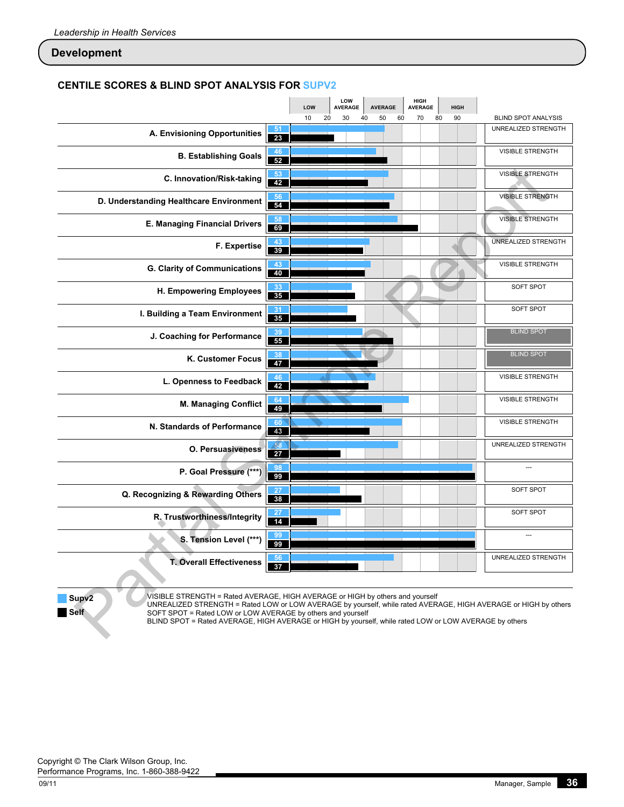# **CENTILE SCORES & BLIND SPOT ANALYSIS FOR SUPV2**

|                                                                                                                                                                                                                                                                                                                                                                                                               |           | LOW |    | LOW<br><b>AVERAGE</b> | <b>AVERAGE</b> |    | HIGH<br><b>AVERAGE</b> |    | <b>HIGH</b> |                            |
|---------------------------------------------------------------------------------------------------------------------------------------------------------------------------------------------------------------------------------------------------------------------------------------------------------------------------------------------------------------------------------------------------------------|-----------|-----|----|-----------------------|----------------|----|------------------------|----|-------------|----------------------------|
|                                                                                                                                                                                                                                                                                                                                                                                                               |           | 10  | 20 | 30                    | 40<br>50       | 60 | 70                     | 80 | 90          | <b>BLIND SPOT ANALYSIS</b> |
| A. Envisioning Opportunities                                                                                                                                                                                                                                                                                                                                                                                  | 51<br>23  |     |    |                       |                |    |                        |    |             | UNREALIZED STRENGTH        |
| <b>B. Establishing Goals</b>                                                                                                                                                                                                                                                                                                                                                                                  | 46<br>52  |     |    |                       |                |    |                        |    |             | <b>VISIBLE STRENGTH</b>    |
| C. Innovation/Risk-taking                                                                                                                                                                                                                                                                                                                                                                                     | 53<br>42  |     |    |                       |                |    |                        |    |             | <b>VISIBLE STRENGTH</b>    |
| D. Understanding Healthcare Environment                                                                                                                                                                                                                                                                                                                                                                       | 56<br>54  |     |    |                       |                |    |                        |    |             | <b>VISIBLE STRENGTH</b>    |
| <b>E. Managing Financial Drivers</b>                                                                                                                                                                                                                                                                                                                                                                          | 58<br>69  |     |    |                       |                |    |                        |    |             | <b>VISIBLE STRENGTH</b>    |
| F. Expertise                                                                                                                                                                                                                                                                                                                                                                                                  | 43<br>39  |     |    |                       |                |    |                        |    |             | UNREALIZED STRENGTH        |
| <b>G. Clarity of Communications</b>                                                                                                                                                                                                                                                                                                                                                                           | 43<br>40  |     |    |                       |                |    |                        |    |             | <b>VISIBLE STRENGTH</b>    |
| H. Empowering Employees                                                                                                                                                                                                                                                                                                                                                                                       | 33<br>35  |     |    |                       |                |    |                        |    |             | SOFT SPOT                  |
| I. Building a Team Environment                                                                                                                                                                                                                                                                                                                                                                                | 31<br>35  |     |    |                       |                |    |                        |    |             | SOFT SPOT                  |
| J. Coaching for Performance                                                                                                                                                                                                                                                                                                                                                                                   | 39<br>55  |     |    |                       |                |    |                        |    |             | <b>BLIND SPOT</b>          |
| K. Customer Focus                                                                                                                                                                                                                                                                                                                                                                                             | 38<br>47  |     |    |                       |                |    |                        |    |             | <b>BLIND SPOT</b>          |
| L. Openness to Feedback                                                                                                                                                                                                                                                                                                                                                                                       | 46<br>42  |     |    |                       |                |    |                        |    |             | <b>VISIBLE STRENGTH</b>    |
| <b>M. Managing Conflict</b>                                                                                                                                                                                                                                                                                                                                                                                   | 64<br>49  |     |    |                       |                |    |                        |    |             | <b>VISIBLE STRENGTH</b>    |
| N. Standards of Performance                                                                                                                                                                                                                                                                                                                                                                                   | 60<br>43  |     |    |                       |                |    |                        |    |             | <b>VISIBLE STRENGTH</b>    |
| <b>O. Persuasiveness</b>                                                                                                                                                                                                                                                                                                                                                                                      | -58<br>27 |     |    |                       |                |    |                        |    |             | UNREALIZED STRENGTH        |
| P. Goal Pressure (***)                                                                                                                                                                                                                                                                                                                                                                                        | 98<br>99  |     |    |                       |                |    |                        |    |             | $\sim$                     |
| Q. Recognizing & Rewarding Others                                                                                                                                                                                                                                                                                                                                                                             | 27<br>38  |     |    |                       |                |    |                        |    |             | <b>SOFT SPOT</b>           |
| R. Trustworthiness/Integrity                                                                                                                                                                                                                                                                                                                                                                                  | 14        |     |    |                       |                |    |                        |    |             | SOFT SPOT                  |
| S. Tension Level (***)                                                                                                                                                                                                                                                                                                                                                                                        | 99<br>99  |     |    |                       |                |    |                        |    |             |                            |
| <b>T. Overall Effectiveness</b>                                                                                                                                                                                                                                                                                                                                                                               | 56<br>37  |     |    |                       |                |    |                        |    |             | UNREALIZED STRENGTH        |
| VISIBLE STRENGTH = Rated AVERAGE, HIGH AVERAGE or HIGH by others and yourself<br>Supv <sub>2</sub><br>UNREALIZED STRENGTH = Rated LOW or LOW AVERAGE by yourself, while rated AVERAGE, HIGH AVERAGE or HIGH by others<br><b>Self</b><br>SOFT SPOT = Rated LOW or LOW AVERAGE by others and yourself<br>BLIND SPOT = Rated AVERAGE, HIGH AVERAGE or HIGH by yourself, while rated LOW or LOW AVERAGE by others |           |     |    |                       |                |    |                        |    |             |                            |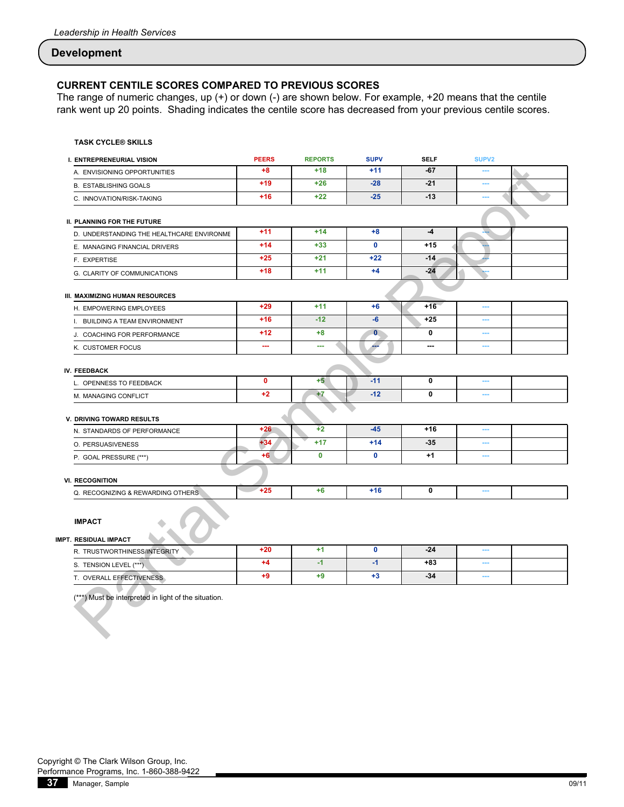### **CURRENT CENTILE SCORES COMPARED TO PREVIOUS SCORES**

The range of numeric changes, up (+) or down (-) are shown below. For example, +20 means that the centile rank went up 20 points. Shading indicates the centile score has decreased from your previous centile scores.

|  |  | <b>TASK CYCLE® SKILLS</b> |
|--|--|---------------------------|
|--|--|---------------------------|

| I. ENTREPRENEURIAL VISION                            | <b>PEERS</b> | <b>REPORTS</b> | <b>SUPV</b>  | <b>SELF</b> | SUPV <sub>2</sub>        |  |
|------------------------------------------------------|--------------|----------------|--------------|-------------|--------------------------|--|
| A. ENVISIONING OPPORTUNITIES                         | $+8$         | $+18$          | $+11$        | -67         | ---                      |  |
| <b>B. ESTABLISHING GOALS</b>                         | $+19$        | $+26$          | $-28$        | $-21$       | ---                      |  |
| C. INNOVATION/RISK-TAKING                            | $+16$        | $+22$          | $-25$        | $-13$       | $-$                      |  |
| II. PLANNING FOR THE FUTURE                          |              |                |              |             |                          |  |
| D. UNDERSTANDING THE HEALTHCARE ENVIRONME            | $+11$        | $+14$          | $+8$         | $-4$        |                          |  |
| E. MANAGING FINANCIAL DRIVERS                        | $+14$        | $+33$          | $\mathbf 0$  | $+15$       |                          |  |
| F. EXPERTISE                                         | $+25$        | $+21$          | $+22$        | $-14$       |                          |  |
| G. CLARITY OF COMMUNICATIONS                         | $+18$        | $+11$          | $+4$         | $-24$       |                          |  |
| III. MAXIMIZING HUMAN RESOURCES                      |              |                |              |             |                          |  |
| H. EMPOWERING EMPLOYEES                              | $+29$        | $+11$          | $+6$         | $+16$       | $\sim$                   |  |
| I. BUILDING A TEAM ENVIRONMENT                       | $+16$        | $-12$          | $-6$         | $+25$       | ---                      |  |
| J. COACHING FOR PERFORMANCE                          | $+12$        | $+8$           | $\mathbf{0}$ | 0           | ---                      |  |
| K. CUSTOMER FOCUS                                    | $\sim$       | $\sim$         | ÷            | ---         | $\cdots$                 |  |
| IV. FEEDBACK                                         |              |                |              |             |                          |  |
| L. OPENNESS TO FEEDBACK                              | $\mathbf 0$  | $+5$           | $-11$        | 0           | ---                      |  |
| M. MANAGING CONFLICT                                 | $+2$         | $+7$           | $-12$        | 0           | ---                      |  |
| V. DRIVING TOWARD RESULTS                            |              |                |              |             |                          |  |
| N. STANDARDS OF PERFORMANCE                          | $+26$        | $+2$           | $-45$        | $+16$       | $\sim$                   |  |
| O. PERSUASIVENESS                                    | $+34$        | $+17$          | $+14$        | $-35$       | ---                      |  |
| P. GOAL PRESSURE (***)                               | $+6$         | $\mathbf 0$    | $\mathbf 0$  | $+1$        | ---                      |  |
| <b>VI. RECOGNITION</b>                               |              |                |              |             |                          |  |
| Q. RECOGNIZING & REWARDING OTHERS.                   | $+25$        | $+6$           | $+16$        | 0           | $\overline{\phantom{a}}$ |  |
| <b>IMPACT</b><br>IMPT. RESIDUAL IMPACT               |              |                |              |             |                          |  |
| R. TRUSTWORTHINESS/INTEGRITY                         | $+20$        | $+1$           | $\mathbf 0$  | $-24$       | $\overline{\phantom{a}}$ |  |
| S. TENSION LEVEL (***).                              | $+4$         | $-1$           | $-1$         | $+83$       |                          |  |
| T. OVERALL EFFECTIVENESS                             | $+9$         | $+9$           | $+3$         | $-34$       | $\cdots$                 |  |
| (***) Must be interpreted in light of the situation. |              |                |              |             |                          |  |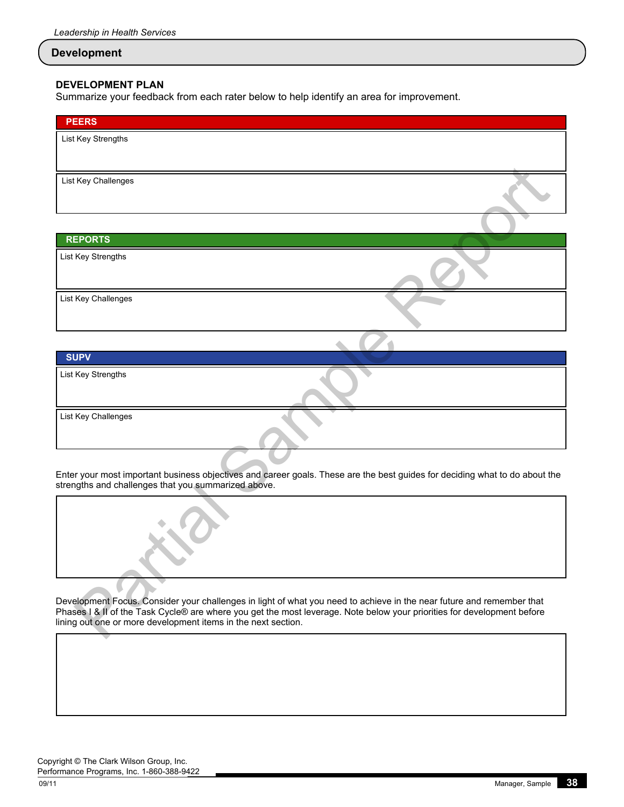### **DEVELOPMENT PLAN**

Summarize your feedback from each rater below to help identify an area for improvement.

| <b>PEERS</b>                                                                                                                                                                                                                                                                                                      |
|-------------------------------------------------------------------------------------------------------------------------------------------------------------------------------------------------------------------------------------------------------------------------------------------------------------------|
| List Key Strengths                                                                                                                                                                                                                                                                                                |
|                                                                                                                                                                                                                                                                                                                   |
| List Key Challenges                                                                                                                                                                                                                                                                                               |
|                                                                                                                                                                                                                                                                                                                   |
| <b>REPORTS</b>                                                                                                                                                                                                                                                                                                    |
| List Key Strengths                                                                                                                                                                                                                                                                                                |
| List Key Challenges                                                                                                                                                                                                                                                                                               |
|                                                                                                                                                                                                                                                                                                                   |
| <b>SUPV</b>                                                                                                                                                                                                                                                                                                       |
| List Key Strengths                                                                                                                                                                                                                                                                                                |
| List Key Challenges                                                                                                                                                                                                                                                                                               |
| Enter your most important business objectives and career goals. These are the best guides for deciding what to do about the<br>strengths and challenges that you summarized above.                                                                                                                                |
|                                                                                                                                                                                                                                                                                                                   |
| Development Focus. Consider your challenges in light of what you need to achieve in the near future and remember that<br>Phases I & II of the Task Cycle® are where you get the most leverage. Note below your priorities for development before<br>lining out one or more development items in the next section. |

| <b>SUPV</b>         |  |
|---------------------|--|
| List Key Strengths  |  |
| List Key Challenges |  |
|                     |  |